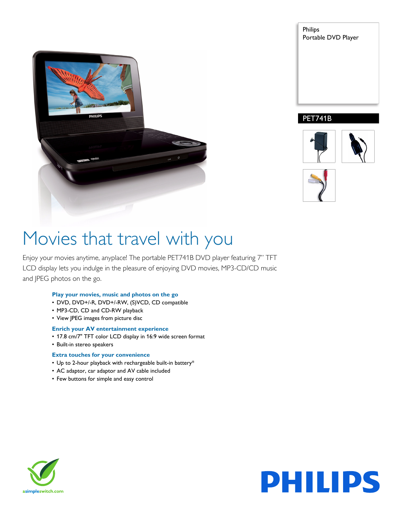

Philips Portable DVD Player

### PET741B





# Movies that travel with you

Enjoy your movies anytime, anyplace! The portable PET741B DVD player featuring 7" TFT LCD display lets you indulge in the pleasure of enjoying DVD movies, MP3-CD/CD music and JPEG photos on the go.

#### **Play your movies, music and photos on the go**

- DVD, DVD+/-R, DVD+/-RW, (S)VCD, CD compatible
- MP3-CD, CD and CD-RW playback
- View JPEG images from picture disc

#### **Enrich your AV entertainment experience**

- 17.8 cm/7" TFT color LCD display in 16:9 wide screen format
- Built-in stereo speakers

#### **Extra touches for your convenience**

- Up to 2-hour playback with rechargeable built-in battery\*
- AC adaptor, car adaptor and AV cable included
- Few buttons for simple and easy control